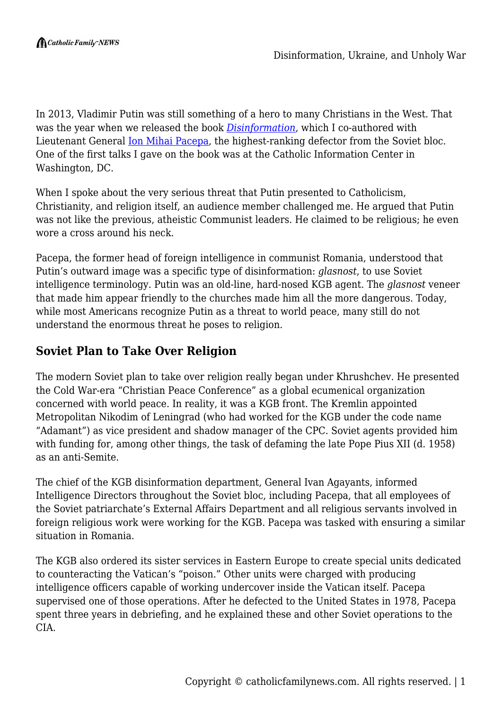In 2013, Vladimir Putin was still something of a hero to many Christians in the West. That was the year when we released the book *[Disinformation](https://superstore.wnd.com/disinformation-former-spy-chief-reveals-secret-strategy-for-undermining-freedom-attacking-religion-and-promoting-terrorism-e-book/)*, which I co-authored with Lieutenant General **Ion Mihai Pacepa**, the highest-ranking defector from the Soviet bloc. One of the first talks I gave on the book was at the Catholic Information Center in Washington, DC.

When I spoke about the very serious threat that Putin presented to Catholicism, Christianity, and religion itself, an audience member challenged me. He argued that Putin was not like the previous, atheistic Communist leaders. He claimed to be religious; he even wore a cross around his neck.

Pacepa, the former head of foreign intelligence in communist Romania, understood that Putin's outward image was a specific type of disinformation: *glasnost*, to use Soviet intelligence terminology. Putin was an old-line, hard-nosed KGB agent. The *glasnost* veneer that made him appear friendly to the churches made him all the more dangerous. Today, while most Americans recognize Putin as a threat to world peace, many still do not understand the enormous threat he poses to religion.

## **Soviet Plan to Take Over Religion**

The modern Soviet plan to take over religion really began under Khrushchev. He presented the Cold War-era "Christian Peace Conference" as a global ecumenical organization concerned with world peace. In reality, it was a KGB front. The Kremlin appointed Metropolitan Nikodim of Leningrad (who had worked for the KGB under the code name "Adamant") as vice president and shadow manager of the CPC. Soviet agents provided him with funding for, among other things, the task of defaming the late Pope Pius XII (d. 1958) as an anti-Semite.

The chief of the KGB disinformation department, General Ivan Agayants, informed Intelligence Directors throughout the Soviet bloc, including Pacepa, that all employees of the Soviet patriarchate's External Affairs Department and all religious servants involved in foreign religious work were working for the KGB. Pacepa was tasked with ensuring a similar situation in Romania.

The KGB also ordered its sister services in Eastern Europe to create special units dedicated to counteracting the Vatican's "poison." Other units were charged with producing intelligence officers capable of working undercover inside the Vatican itself. Pacepa supervised one of those operations. After he defected to the United States in 1978, Pacepa spent three years in debriefing, and he explained these and other Soviet operations to the CIA.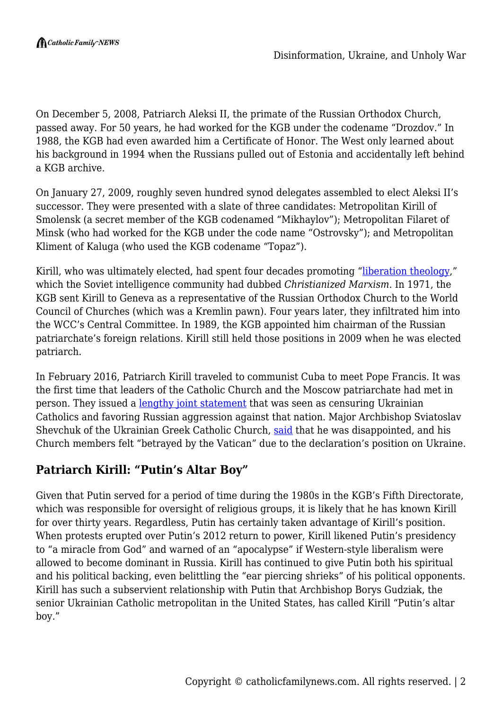On December 5, 2008, Patriarch Aleksi II, the primate of the Russian Orthodox Church, passed away. For 50 years, he had worked for the KGB under the codename "Drozdov." In 1988, the KGB had even awarded him a Certificate of Honor. The West only learned about his background in 1994 when the Russians pulled out of Estonia and accidentally left behind a KGB archive.

On January 27, 2009, roughly seven hundred synod delegates assembled to elect Aleksi II's successor. They were presented with a slate of three candidates: Metropolitan Kirill of Smolensk (a secret member of the KGB codenamed "Mikhaylov"); Metropolitan Filaret of Minsk (who had worked for the KGB under the code name "Ostrovsky"); and Metropolitan Kliment of Kaluga (who used the KGB codename "Topaz").

Kirill, who was ultimately elected, had spent four decades promoting "[liberation theology](https://www.nationalreview.com/2015/04/secret-roots-liberation-theology/)," which the Soviet intelligence community had dubbed *Christianized Marxism*. In 1971, the KGB sent Kirill to Geneva as a representative of the Russian Orthodox Church to the World Council of Churches (which was a Kremlin pawn). Four years later, they infiltrated him into the WCC's Central Committee. In 1989, the KGB appointed him chairman of the Russian patriarchate's foreign relations. Kirill still held those positions in 2009 when he was elected patriarch.

In February 2016, Patriarch Kirill traveled to communist Cuba to meet Pope Francis. It was the first time that leaders of the Catholic Church and the Moscow patriarchate had met in person. They issued a [lengthy joint statement](https://www.vatican.va/content/francesco/en/speeches/2016/february/documents/papa-francesco_20160212_dichiarazione-comune-kirill.html) that was seen as censuring Ukrainian Catholics and favoring Russian aggression against that nation. Major Archbishop Sviatoslav Shevchuk of the Ukrainian Greek Catholic Church, [said](https://www.catholicculture.org/news/headlines/index.cfm?storyid=27498) that he was disappointed, and his Church members felt "betrayed by the Vatican" due to the declaration's position on Ukraine.

## **Patriarch Kirill: "Putin's Altar Boy"**

Given that Putin served for a period of time during the 1980s in the KGB's Fifth Directorate, which was responsible for oversight of religious groups, it is likely that he has known Kirill for over thirty years. Regardless, Putin has certainly taken advantage of Kirill's position. When protests erupted over Putin's 2012 return to power, Kirill likened Putin's presidency to "a miracle from God" and warned of an "apocalypse" if Western-style liberalism were allowed to become dominant in Russia. Kirill has continued to give Putin both his spiritual and his political backing, even belittling the "ear piercing shrieks" of his political opponents. Kirill has such a subservient relationship with Putin that Archbishop Borys Gudziak, the senior Ukrainian Catholic metropolitan in the United States, has called Kirill "Putin's altar boy."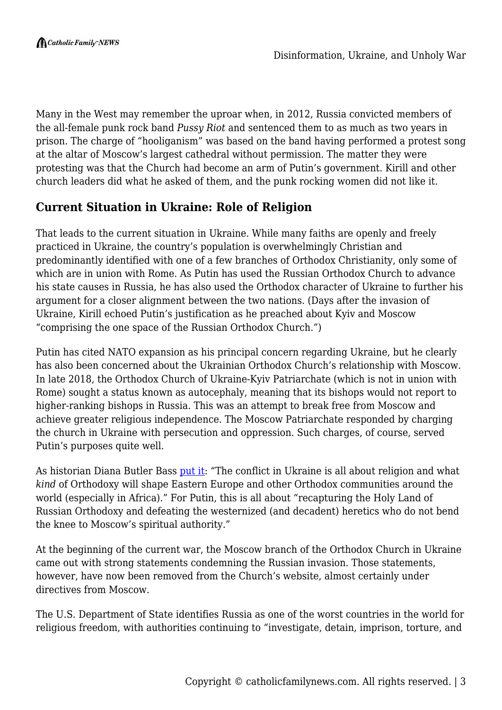Many in the West may remember the uproar when, in 2012, Russia convicted members of the all-female punk rock band *Pussy Riot* and sentenced them to as much as two years in prison. The charge of "hooliganism" was based on the band having performed a protest song at the altar of Moscow's largest cathedral without permission. The matter they were protesting was that the Church had become an arm of Putin's government. Kirill and other church leaders did what he asked of them, and the punk rocking women did not like it.

## **Current Situation in Ukraine: Role of Religion**

That leads to the current situation in Ukraine. While many faiths are openly and freely practiced in Ukraine, the country's population is overwhelmingly Christian and predominantly identified with one of a few branches of Orthodox Christianity, only some of which are in union with Rome. As Putin has used the Russian Orthodox Church to advance his state causes in Russia, he has also used the Orthodox character of Ukraine to further his argument for a closer alignment between the two nations. (Days after the invasion of Ukraine, Kirill echoed Putin's justification as he preached about Kyiv and Moscow "comprising the one space of the Russian Orthodox Church.")

Putin has cited NATO expansion as his principal concern regarding Ukraine, but he clearly has also been concerned about the Ukrainian Orthodox Church's relationship with Moscow. In late 2018, the Orthodox Church of Ukraine-Kyiv Patriarchate (which is not in union with Rome) sought a status known as autocephaly, meaning that its bishops would not report to higher-ranking bishops in Russia. This was an attempt to break free from Moscow and achieve greater religious independence. The Moscow Patriarchate responded by charging the church in Ukraine with persecution and oppression. Such charges, of course, served Putin's purposes quite well.

As historian Diana Butler Bass [put it:](https://dianabutlerbass.substack.com/p/next-year-in-kyiv?s=r) "The conflict in Ukraine is all about religion and what *kind* of Orthodoxy will shape Eastern Europe and other Orthodox communities around the world (especially in Africa)." For Putin, this is all about "recapturing the Holy Land of Russian Orthodoxy and defeating the westernized (and decadent) heretics who do not bend the knee to Moscow's spiritual authority."

At the beginning of the current war, the Moscow branch of the Orthodox Church in Ukraine came out with strong statements condemning the Russian invasion. Those statements, however, have now been removed from the Church's website, almost certainly under directives from Moscow.

The U.S. Department of State identifies Russia as one of the worst countries in the world for religious freedom, with authorities continuing to "investigate, detain, imprison, torture, and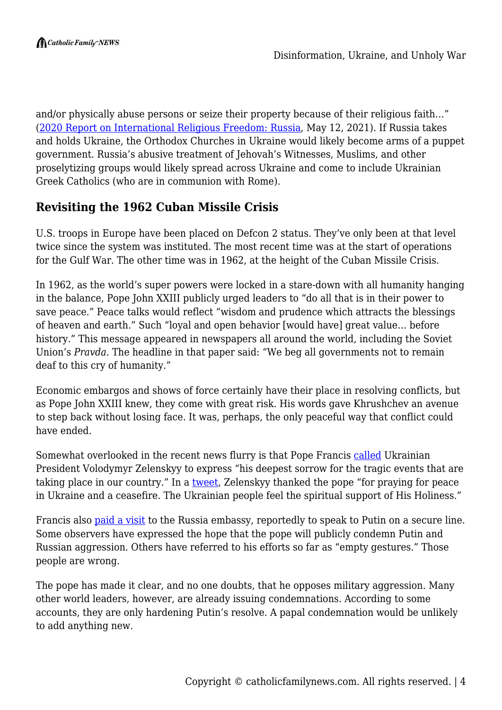and/or physically abuse persons or seize their property because of their religious faith…" ([2020 Report on International Religious Freedom: Russia,](https://www.state.gov/reports/2020-report-on-international-religious-freedom/russia/) May 12, 2021). If Russia takes and holds Ukraine, the Orthodox Churches in Ukraine would likely become arms of a puppet government. Russia's abusive treatment of Jehovah's Witnesses, Muslims, and other proselytizing groups would likely spread across Ukraine and come to include Ukrainian Greek Catholics (who are in communion with Rome).

## **Revisiting the 1962 Cuban Missile Crisis**

U.S. troops in Europe have been placed on Defcon 2 status. They've only been at that level twice since the system was instituted. The most recent time was at the start of operations for the Gulf War. The other time was in 1962, at the height of the Cuban Missile Crisis.

In 1962, as the world's super powers were locked in a stare-down with all humanity hanging in the balance, Pope John XXIII publicly urged leaders to "do all that is in their power to save peace." Peace talks would reflect "wisdom and prudence which attracts the blessings of heaven and earth." Such "loyal and open behavior [would have] great value… before history." This message appeared in newspapers all around the world, including the Soviet Union's *Pravda*. The headline in that paper said: "We beg all governments not to remain deaf to this cry of humanity."

Economic embargos and shows of force certainly have their place in resolving conflicts, but as Pope John XXIII knew, they come with great risk. His words gave Khrushchev an avenue to step back without losing face. It was, perhaps, the only peaceful way that conflict could have ended.

Somewhat overlooked in the recent news flurry is that Pope Francis [called](https://www.vaticannews.va/en/pope/news/2022-02/pope-ukraine-president-zelenskyy-russia-war-telephone-call.html) Ukrainian President Volodymyr Zelenskyy to express "his deepest sorrow for the tragic events that are taking place in our country." In a [tweet,](https://twitter.com/ZelenskyyUa/status/1497641175968366599) Zelenskyy thanked the pope "for praying for peace in Ukraine and a ceasefire. The Ukrainian people feel the spiritual support of His Holiness."

Francis also <u>paid a visit</u> to the Russia embassy, reportedly to speak to Putin on a secure line. Some observers have expressed the hope that the pope will publicly condemn Putin and Russian aggression. Others have referred to his efforts so far as "empty gestures." Those people are wrong.

The pope has made it clear, and no one doubts, that he opposes military aggression. Many other world leaders, however, are already issuing condemnations. According to some accounts, they are only hardening Putin's resolve. A papal condemnation would be unlikely to add anything new.